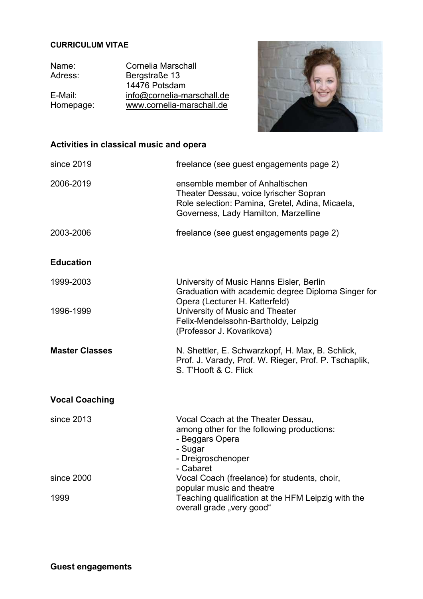## CURRICULUM VITAE

Name: Cornelia Marschall<br>Adress: Bergstraße 13 Bergstraße 13 14476 Potsdam E-Mail: info@cornelia-marschall.de<br>Homepage: www.cornelia-marschall.de www.cornelia-marschall.de



## Activities in classical music and opera

| since 2019            | freelance (see guest engagements page 2)                                                                                                                             |
|-----------------------|----------------------------------------------------------------------------------------------------------------------------------------------------------------------|
| 2006-2019             | ensemble member of Anhaltischen<br>Theater Dessau, voice lyrischer Sopran<br>Role selection: Pamina, Gretel, Adina, Micaela,<br>Governess, Lady Hamilton, Marzelline |
| 2003-2006             | freelance (see guest engagements page 2)                                                                                                                             |
| <b>Education</b>      |                                                                                                                                                                      |
| 1999-2003             | University of Music Hanns Eisler, Berlin<br>Graduation with academic degree Diploma Singer for<br>Opera (Lecturer H. Katterfeld)                                     |
| 1996-1999             | University of Music and Theater<br>Felix-Mendelssohn-Bartholdy, Leipzig<br>(Professor J. Kovarikova)                                                                 |
| <b>Master Classes</b> | N. Shettler, E. Schwarzkopf, H. Max, B. Schlick,<br>Prof. J. Varady, Prof. W. Rieger, Prof. P. Tschaplik,<br>S. T'Hooft & C. Flick                                   |
| <b>Vocal Coaching</b> |                                                                                                                                                                      |
| since 2013            | Vocal Coach at the Theater Dessau,<br>among other for the following productions:<br>- Beggars Opera<br>- Sugar<br>- Dreigroschenoper<br>- Cabaret                    |
| since 2000            | Vocal Coach (freelance) for students, choir,<br>popular music and theatre                                                                                            |
| 1999                  | Teaching qualification at the HFM Leipzig with the<br>overall grade "very good"                                                                                      |